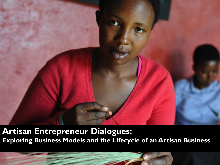

**Artisan Entrepreneur Dialogues: Exploring Business Models and the Lifecycle of an Artisan Business**

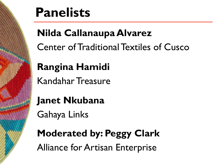

# **Panelists**

## **Nilda Callanaupa Alvarez**

Center of Traditional Textiles of Cusco

## **Rangina Hamidi**

Kandahar Treasure

**Janet Nkubana**

Gahaya Links

**Moderated by: Peggy Clark** Alliance for Artisan Enterprise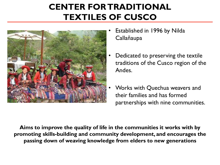#### **CENTER FOR TRADITIONAL TEXTILES OF CUSCO**



- Established in 1996 by Nilda Callañaupa
- Dedicated to preserving the textile traditions of the Cusco region of the Andes.
- Works with Quechua weavers and their families and has formed partnerships with nine communities.

**Aims to improve the quality of life in the communities it works with by promoting skills-building and community development, and encourages the passing down of weaving knowledge from elders to new generations**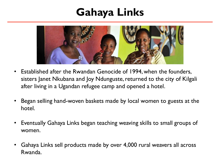### **Gahaya Links**



- Established after the Rwandan Genocide of 1994, when the founders, sisters Janet Nkubana and Joy Ndunguste, returned to the city of Kilgali after living in a Ugandan refugee camp and opened a hotel.
- Began selling hand-woven baskets made by local women to guests at the hotel.
- Eventually Gahaya Links began teaching weaving skills to small groups of women.
- Gahaya Links sell products made by over 4,000 rural weavers all across Rwanda.